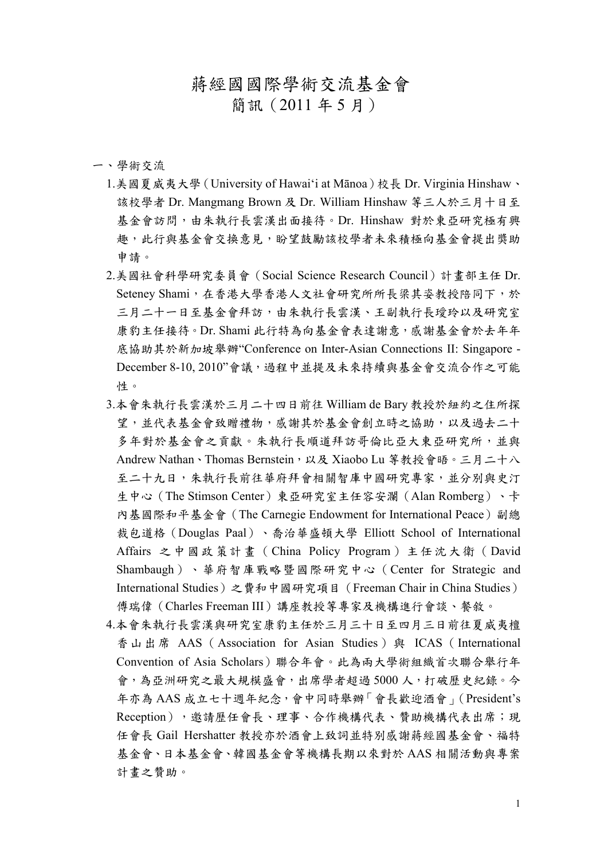## 蔣經國國際學術交流基金會

簡訊(2011 年 5 月)

一、學術交流

- 1.美國夏威夷大學(University of Hawai'i at Mānoa)校長 Dr. Virginia Hinshaw、 該校學者 Dr. Mangmang Brown 及 Dr. William Hinshaw 等三人於三月十日至 基金會訪問,由朱執行長雲漢出面接待。Dr. Hinshaw 對於東亞研究極有興 趣,此行與基金會交換意見,盼望鼓勵該校學者未來積極向基金會提出獎助 申請。
- 2.美國社會科學研究委員會(Social Science Research Council)計畫部主任 Dr. Seteney Shami,在香港大學香港人文社會研究所所長梁其姿教授陪同下,於 三月二十一日至基金會拜訪,由朱執行長雲漢、王副執行長瑷玲以及研究室 康豹主任接待。Dr. Shami 此行特為向基金會表達謝意,感謝基金會於去年年 底協助其於新加坡舉辦"Conference on Inter-Asian Connections II: Singapore - December 8-10, 2010"會議,過程中並提及未來持續與基金會交流合作之可能 性。
- 3.本會朱執行長雲漢於三月二十四日前往 William de Bary 教授於紐約之住所探 望,並代表基金會致贈禮物,感謝其於基金會創立時之協助,以及過去二十 多年對於基金會之貢獻。朱執行長順道拜訪哥倫比亞大東亞研究所,並與 Andrew Nathan、Thomas Bernstein,以及 Xiaobo Lu 等教授會晤。三月二十八 至二十九日,朱執行長前往華府拜會相關智庫中國研究專家,並分別與史汀 生中心(The Stimson Center)東亞研究室主任容安瀾(Alan Romberg)、卡 內基國際和平基金會 (The Carnegie Endowment for International Peace) 副總 裁包道格(Douglas Paal)、喬治華盛頓大學 Elliott School of International Affairs 之中國政策計畫(China Policy Program)主任沈大衛(David Shambaugh)、華府智庫戰略暨國際研究中心(Center for Strategic and International Studies)之費和中國研究項目(Freeman Chair in China Studies) 傅瑞偉(Charles Freeman III)講座教授等專家及機構進行會談、餐敘。
- 4.本會朱執行長雲漢與研究室康豹主任於三月三十日至四月三日前往夏威夷檀 香山出席 AAS (Association for Asian Studies) 與 ICAS (International Convention of Asia Scholars)聯合年會。此為兩大學術組織首次聯合舉行年 會,為亞洲研究之最大規模盛會,出席學者超過5000人,打破歷史紀錄。今 年亦為 AAS 成立七十週年紀念,會中同時舉辦「會長歡迎酒會」(President's Reception),邀請歷任會長、理事、合作機構代表、贊助機構代表出席;現 任會長 Gail Hershatter 教授亦於酒會上致詞並特別感謝蔣經國基金會、福特 基金會、日本基金會、韓國基金會等機構長期以來對於 AAS 相關活動與專案 計畫之贊助。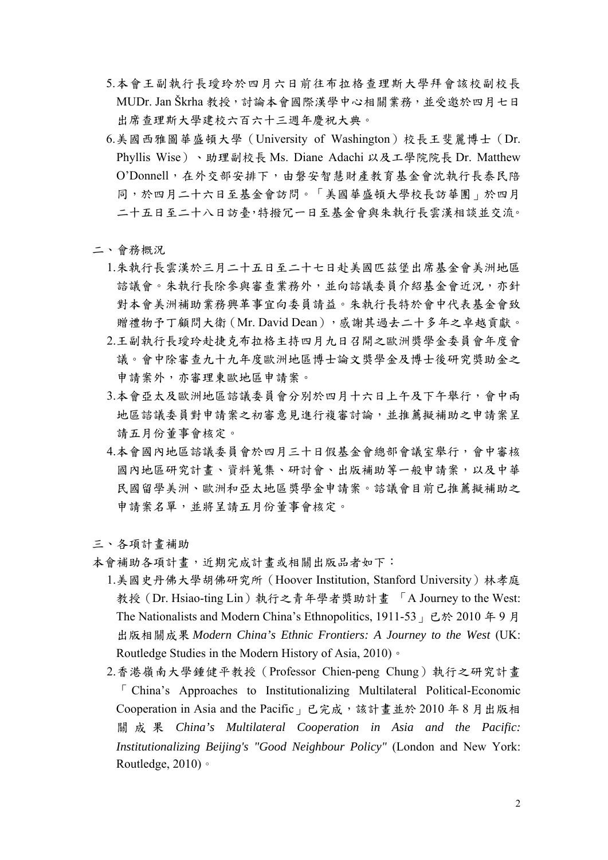- 5.本會王副執行長璦玲於四月六日前往布拉格查理斯大學拜會該校副校長 MUDr. Jan Škrha 教授,討論本會國際漢學中心相關業務,並受邀於四月七日 出席查理斯大學建校六百六十三週年慶祝大典。
- 6.美國西雅圖華盛頓大學(University of Washington)校長王斐麗博士(Dr. Phyllis Wise)、助理副校長 Ms. Diane Adachi 以及工學院院長 Dr. Matthew O'Donnell,在外交部安排下,由磐安智慧財產教育基金會沈執行長泰民陪 同,於四月二十六日至基金會訪問。「美國華盛頓大學校長訪華團」於四月 二十五日至二十八日訪臺,特撥冗一日至基金會與朱執行長雲漢相談並交流。
- 二、會務概況
	- 1.朱執行長雲漢於三月二十五日至二十七日赴美國匹茲堡出席基金會美洲地區 諮議會。朱執行長除參與審查業務外,並向諮議委員介紹基金會近況,亦針 對本會美洲補助業務興革事宜向委員請益。朱執行長特於會中代表基金會致 贈禮物予丁顧問大衛 (Mr. David Dean),感謝其過去二十多年之卓越貢獻。
	- 2.王副執行長璦玲赴捷克布拉格主持四月九日召開之歐洲獎學金委員會年度會 議。會中除審查九十九年度歐洲地區博士論文獎學金及博士後研究獎助金之 申請案外,亦審理東歐地區申請案。
	- 3.本會亞太及歐洲地區諮議委員會分別於四月十六日上午及下午舉行,會中兩 地區諮議委員對申請案之初審意見進行複審討論,並推薦擬補助之申請案呈 請五月份董事會核定。
	- 4.本會國內地區諮議委員會於四月三十日假基金會總部會議室舉行,會中審核 國內地區研究計畫、資料蒐集、研討會、出版補助等一般申請案,以及中華 民國留學美洲、歐洲和亞太地區獎學金申請案。諮議會目前已推薦擬補助之 申請案名單,並將呈請五月份董事會核定。

三、各項計畫補助

- 本會補助各項計畫,近期完成計畫或相關出版品者如下:
	- 1.美國史丹佛大學胡佛研究所(Hoover Institution, Stanford University)林孝庭 教授(Dr. Hsiao-ting Lin)執行之青年學者獎助計畫 「A Journey to the West: The Nationalists and Modern China's Ethnopolitics, 1911-53」已於 2010 年 9 月 出版相關成果 *Modern China's Ethnic Frontiers: A Journey to the West* (UK: Routledge Studies in the Modern History of Asia, 2010)。
	- 2.香港嶺南大學鍾健平教授(Professor Chien-peng Chung)執行之研究計畫 「 China's Approaches to Institutionalizing Multilateral Political-Economic Cooperation in Asia and the Pacific <sub>」</sub>已完成,該計畫並於 2010 年 8 月出版相 關成果 *China's Multilateral Cooperation in Asia and the Pacific: Institutionalizing Beijing's "Good Neighbour Policy"* (London and New York: Routledge, 2010)。